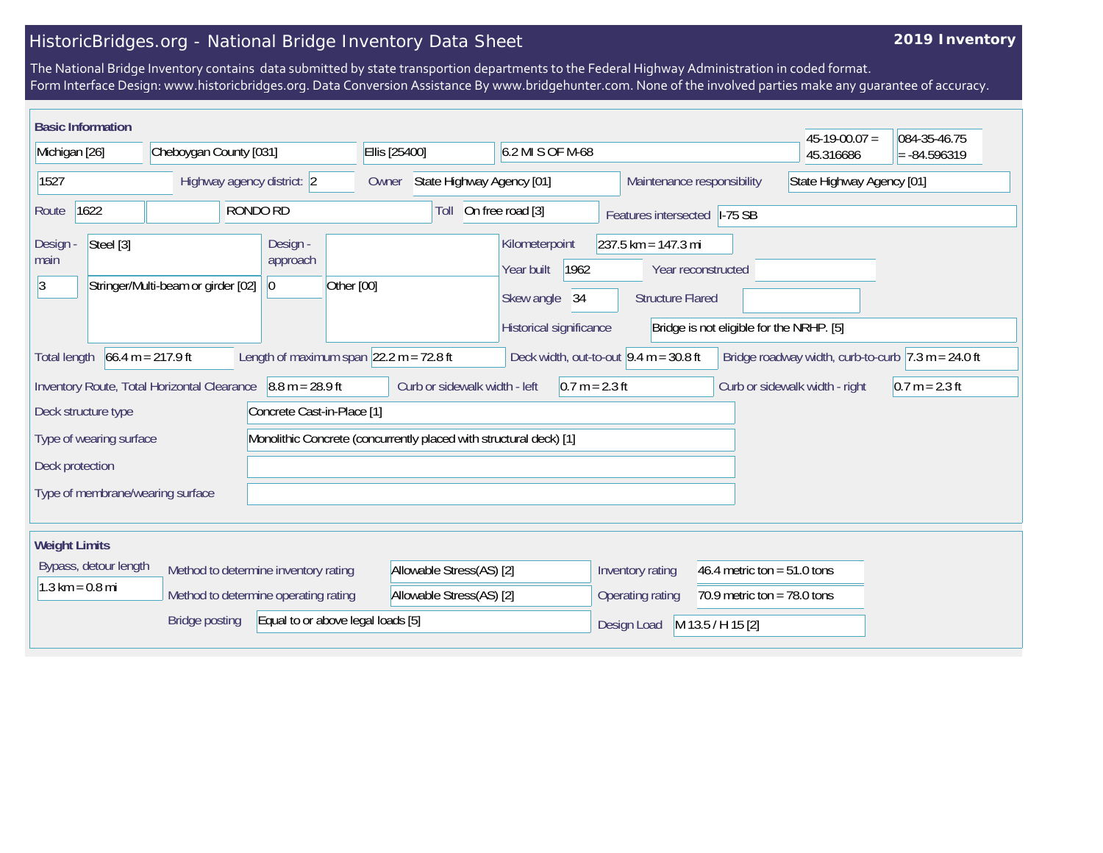## HistoricBridges.org - National Bridge Inventory Data Sheet

## **2019 Inventory**

The National Bridge Inventory contains data submitted by state transportion departments to the Federal Highway Administration in coded format. Form Interface Design: www.historicbridges.org. Data Conversion Assistance By www.bridgehunter.com. None of the involved parties make any guarantee of accuracy.

|                                                                                                                                                                                                                                     | <b>Basic Information</b>          |                                      |                                                                                                                                                                                                           |                                                   |                  |                            |                                | $45-19-00.07 =$  | 084-35-46.75              |  |
|-------------------------------------------------------------------------------------------------------------------------------------------------------------------------------------------------------------------------------------|-----------------------------------|--------------------------------------|-----------------------------------------------------------------------------------------------------------------------------------------------------------------------------------------------------------|---------------------------------------------------|------------------|----------------------------|--------------------------------|------------------|---------------------------|--|
| Michigan [26]                                                                                                                                                                                                                       |                                   | Cheboygan County [031]               |                                                                                                                                                                                                           | Ellis [25400]                                     | 6.2 MI S OF M-68 |                            |                                | 45.316686        | $= -84.596319$            |  |
| 1527                                                                                                                                                                                                                                |                                   | Highway agency district: 2           |                                                                                                                                                                                                           | State Highway Agency [01]<br>Owner                |                  | Maintenance responsibility |                                |                  | State Highway Agency [01] |  |
| RONDO RD<br>1622<br>Route                                                                                                                                                                                                           |                                   | Toll                                 | On free road [3]                                                                                                                                                                                          | Features intersected  -75 SB                      |                  |                            |                                |                  |                           |  |
| Steel [3]<br>Design -<br>Design -<br>approach<br>main<br> 3 <br>Stringer/Multi-beam or girder [02]<br> 0                                                                                                                            |                                   | Other [00]                           | Kilometerpoint<br>$237.5$ km = 147.3 mi<br>1962<br>Year built<br>Year reconstructed<br>Skew angle<br>34<br><b>Structure Flared</b><br>Historical significance<br>Bridge is not eligible for the NRHP. [5] |                                                   |                  |                            |                                |                  |                           |  |
| $66.4 m = 217.9 ft$<br>Length of maximum span $\sqrt{22.2}$ m = 72.8 ft<br>Deck width, out-to-out $9.4 \text{ m} = 30.8 \text{ ft}$<br><b>Total length</b><br>Bridge roadway width, curb-to-curb $ 7.3 \text{ m} = 24.0 \text{ ft}$ |                                   |                                      |                                                                                                                                                                                                           |                                                   |                  |                            |                                |                  |                           |  |
| $8.8 m = 28.9 ft$<br>Inventory Route, Total Horizontal Clearance                                                                                                                                                                    |                                   |                                      |                                                                                                                                                                                                           | Curb or sidewalk width - left<br>$0.7 m = 2.3 ft$ |                  |                            | Curb or sidewalk width - right | $0.7 m = 2.3 ft$ |                           |  |
| Concrete Cast-in-Place [1]<br>Deck structure type<br>Type of wearing surface                                                                                                                                                        |                                   |                                      | Monolithic Concrete (concurrently placed with structural deck) [1]                                                                                                                                        |                                                   |                  |                            |                                |                  |                           |  |
| Deck protection                                                                                                                                                                                                                     |                                   |                                      |                                                                                                                                                                                                           |                                                   |                  |                            |                                |                  |                           |  |
| Type of membrane/wearing surface                                                                                                                                                                                                    |                                   |                                      |                                                                                                                                                                                                           |                                                   |                  |                            |                                |                  |                           |  |
| <b>Weight Limits</b>                                                                                                                                                                                                                |                                   |                                      |                                                                                                                                                                                                           |                                                   |                  |                            |                                |                  |                           |  |
| Bypass, detour length                                                                                                                                                                                                               |                                   | Method to determine inventory rating |                                                                                                                                                                                                           | Allowable Stress(AS) [2]                          |                  | Inventory rating           | 46.4 metric ton = $51.0$ tons  |                  |                           |  |
|                                                                                                                                                                                                                                     | $1.3 \text{ km} = 0.8 \text{ mi}$ |                                      | Method to determine operating rating                                                                                                                                                                      | Allowable Stress(AS) [2]                          |                  | Operating rating           | 70.9 metric ton = $78.0$ tons  |                  |                           |  |
| <b>Bridge posting</b><br>Equal to or above legal loads [5]                                                                                                                                                                          |                                   |                                      |                                                                                                                                                                                                           |                                                   | Design Load      | M 13.5 / H 15 [2]          |                                |                  |                           |  |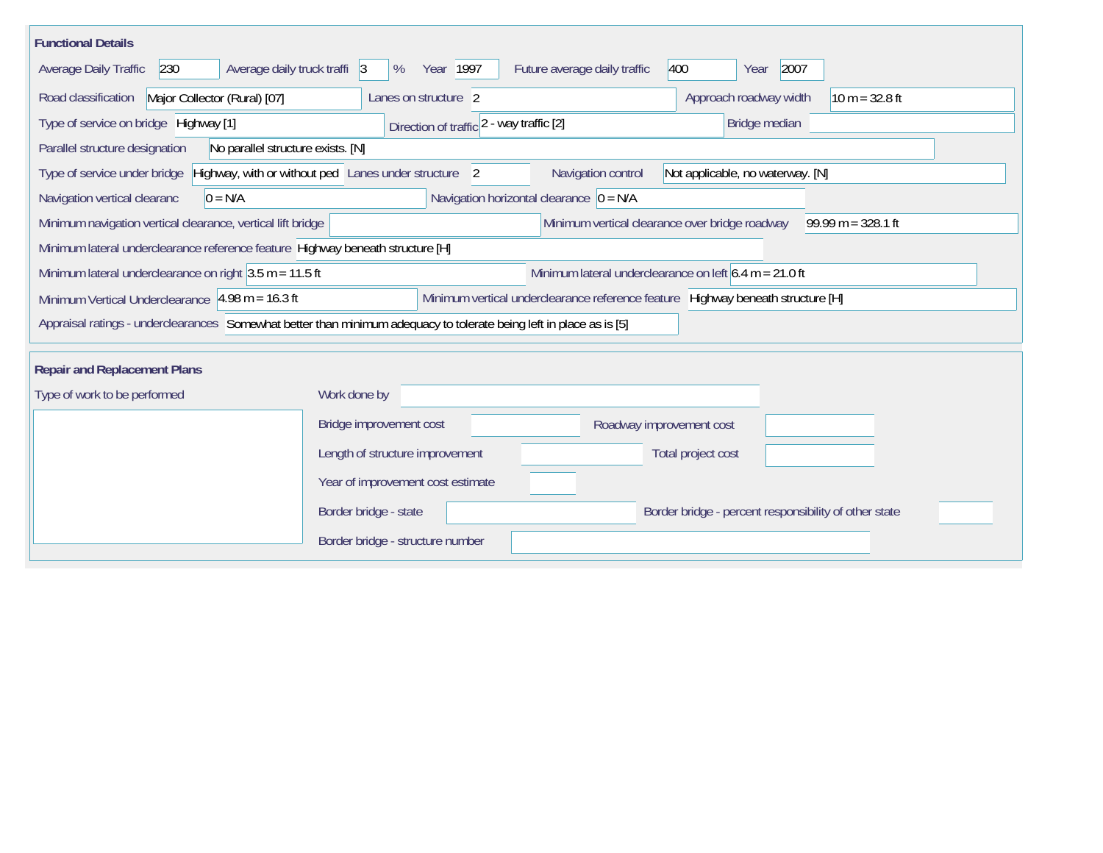| <b>Functional Details</b>                                                                                                             |                                                      |                                                                                 |  |  |  |  |  |  |  |
|---------------------------------------------------------------------------------------------------------------------------------------|------------------------------------------------------|---------------------------------------------------------------------------------|--|--|--|--|--|--|--|
| Average daily truck traffi 3<br>400<br>2007<br>Average Daily Traffic<br>230<br>Year 1997<br>Future average daily traffic<br>%<br>Year |                                                      |                                                                                 |  |  |  |  |  |  |  |
| Road classification<br>Major Collector (Rural) [07]<br>Approach roadway width<br>$10 m = 32.8 ft$<br>Lanes on structure 2             |                                                      |                                                                                 |  |  |  |  |  |  |  |
| Type of service on bridge Highway [1]<br>Direction of traffic 2 - way traffic [2]<br>Bridge median                                    |                                                      |                                                                                 |  |  |  |  |  |  |  |
| Parallel structure designation<br>No parallel structure exists. [N]                                                                   |                                                      |                                                                                 |  |  |  |  |  |  |  |
| Type of service under bridge                                                                                                          | Highway, with or without ped Lanes under structure 2 | Navigation control<br>Not applicable, no waterway. [N]                          |  |  |  |  |  |  |  |
| Navigation vertical clearanc<br>$0 = N/A$                                                                                             | Navigation horizontal clearance $ 0 = N/A $          |                                                                                 |  |  |  |  |  |  |  |
| Minimum navigation vertical clearance, vertical lift bridge                                                                           |                                                      | Minimum vertical clearance over bridge roadway<br>$99.99 m = 328.1 ft$          |  |  |  |  |  |  |  |
| Minimum lateral underclearance reference feature Highway beneath structure [H]                                                        |                                                      |                                                                                 |  |  |  |  |  |  |  |
| Minimum lateral underclearance on right $3.5$ m = 11.5 ft                                                                             |                                                      | Minimum lateral underclearance on left $6.4$ m = 21.0 ft                        |  |  |  |  |  |  |  |
| Minimum Vertical Underclearance 4.98 m = 16.3 ft                                                                                      |                                                      | Minimum vertical underclearance reference feature Highway beneath structure [H] |  |  |  |  |  |  |  |
| Appraisal ratings - underclearances Somewhat better than minimum adequacy to tolerate being left in place as is [5]                   |                                                      |                                                                                 |  |  |  |  |  |  |  |
|                                                                                                                                       |                                                      |                                                                                 |  |  |  |  |  |  |  |
| <b>Repair and Replacement Plans</b>                                                                                                   |                                                      |                                                                                 |  |  |  |  |  |  |  |
| Type of work to be performed                                                                                                          | Work done by                                         |                                                                                 |  |  |  |  |  |  |  |
|                                                                                                                                       | Bridge improvement cost                              | Roadway improvement cost                                                        |  |  |  |  |  |  |  |
|                                                                                                                                       | Length of structure improvement                      | Total project cost                                                              |  |  |  |  |  |  |  |
|                                                                                                                                       | Year of improvement cost estimate                    |                                                                                 |  |  |  |  |  |  |  |
|                                                                                                                                       | Border bridge - state                                | Border bridge - percent responsibility of other state                           |  |  |  |  |  |  |  |
|                                                                                                                                       | Border bridge - structure number                     |                                                                                 |  |  |  |  |  |  |  |
|                                                                                                                                       |                                                      |                                                                                 |  |  |  |  |  |  |  |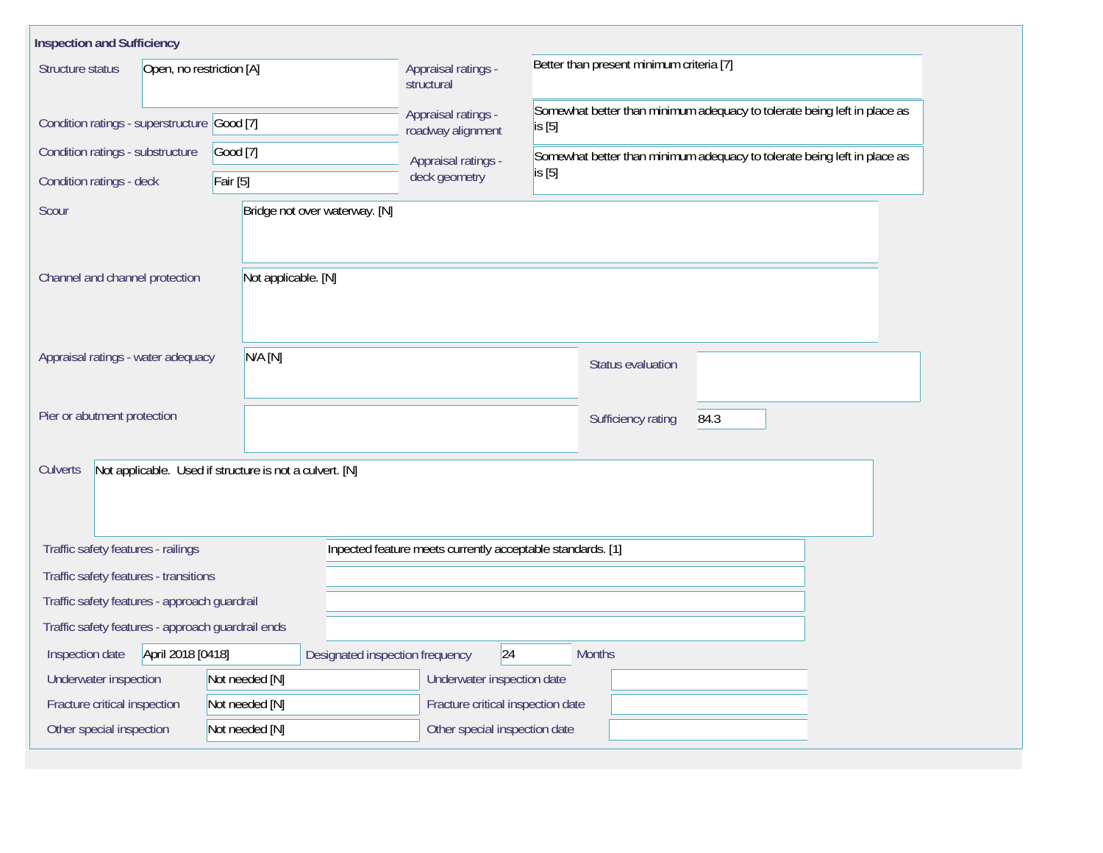| <b>Inspection and Sufficiency</b>                                                                |                                 |                                          |                                                                                    |  |  |  |  |  |
|--------------------------------------------------------------------------------------------------|---------------------------------|------------------------------------------|------------------------------------------------------------------------------------|--|--|--|--|--|
| Structure status<br>Open, no restriction [A]                                                     |                                 | Appraisal ratings -<br>structural        | Better than present minimum criteria [7]                                           |  |  |  |  |  |
| Condition ratings - superstructure Good [7]                                                      |                                 | Appraisal ratings -<br>roadway alignment | Somewhat better than minimum adequacy to tolerate being left in place as<br>is [5] |  |  |  |  |  |
| Condition ratings - substructure                                                                 | Good [7]                        | Appraisal ratings -                      | Somewhat better than minimum adequacy to tolerate being left in place as           |  |  |  |  |  |
| Condition ratings - deck                                                                         | Fair [5]                        | deck geometry                            | is [5]                                                                             |  |  |  |  |  |
| Scour                                                                                            | Bridge not over waterway. [N]   |                                          |                                                                                    |  |  |  |  |  |
|                                                                                                  |                                 |                                          |                                                                                    |  |  |  |  |  |
| Channel and channel protection                                                                   | Not applicable. [N]             |                                          |                                                                                    |  |  |  |  |  |
|                                                                                                  |                                 |                                          |                                                                                    |  |  |  |  |  |
|                                                                                                  |                                 |                                          |                                                                                    |  |  |  |  |  |
| Appraisal ratings - water adequacy                                                               | N/A [N]                         |                                          | <b>Status evaluation</b>                                                           |  |  |  |  |  |
| Pier or abutment protection                                                                      |                                 |                                          |                                                                                    |  |  |  |  |  |
|                                                                                                  |                                 |                                          | Sufficiency rating<br>84.3                                                         |  |  |  |  |  |
| Not applicable. Used if structure is not a culvert. [N]<br>Culverts                              |                                 |                                          |                                                                                    |  |  |  |  |  |
|                                                                                                  |                                 |                                          |                                                                                    |  |  |  |  |  |
|                                                                                                  |                                 |                                          |                                                                                    |  |  |  |  |  |
| Traffic safety features - railings<br>Inpected feature meets currently acceptable standards. [1] |                                 |                                          |                                                                                    |  |  |  |  |  |
| Traffic safety features - transitions                                                            |                                 |                                          |                                                                                    |  |  |  |  |  |
| Traffic safety features - approach guardrail                                                     |                                 |                                          |                                                                                    |  |  |  |  |  |
| Traffic safety features - approach guardrail ends                                                |                                 |                                          |                                                                                    |  |  |  |  |  |
| April 2018 [0418]<br>Inspection date                                                             | Designated inspection frequency | 24                                       | <b>Months</b>                                                                      |  |  |  |  |  |
| Underwater inspection                                                                            | Not needed [N]                  | Underwater inspection date               |                                                                                    |  |  |  |  |  |
| Fracture critical inspection                                                                     | Not needed [N]                  | Fracture critical inspection date        |                                                                                    |  |  |  |  |  |
| Other special inspection                                                                         | Not needed [N]                  | Other special inspection date            |                                                                                    |  |  |  |  |  |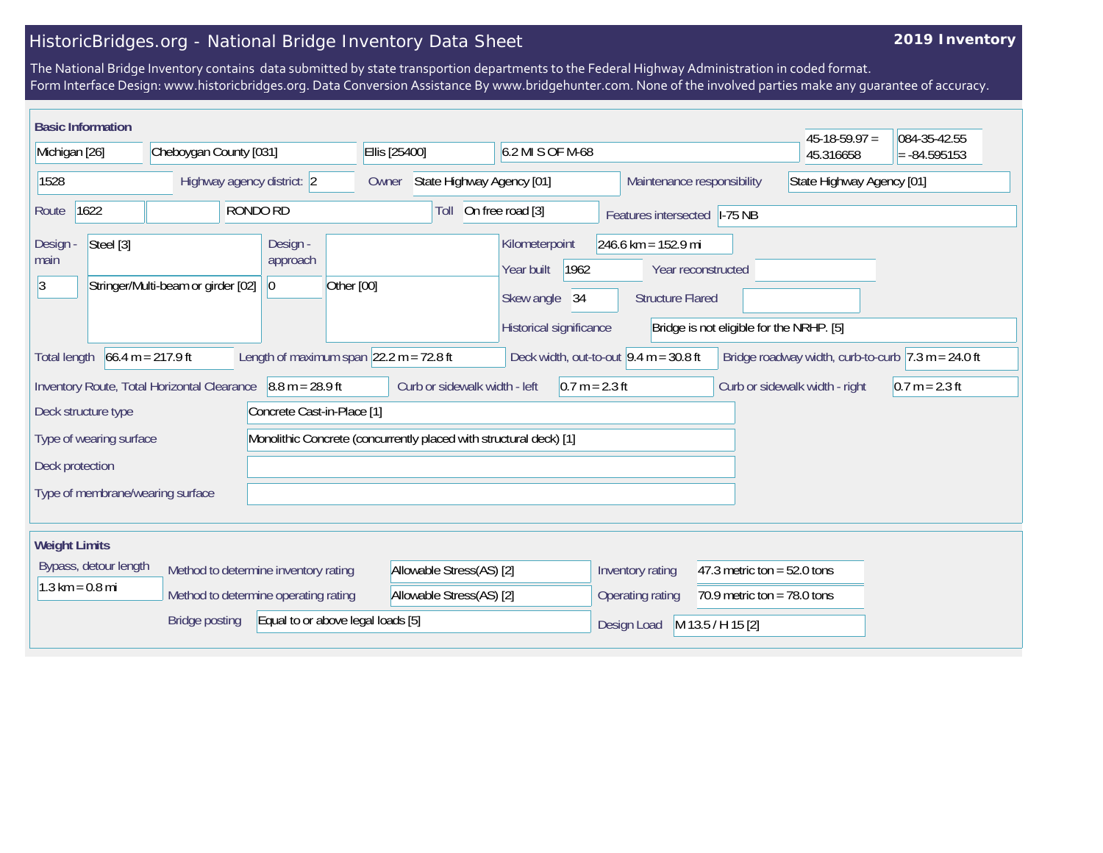## HistoricBridges.org - National Bridge Inventory Data Sheet

## **2019 Inventory**

The National Bridge Inventory contains data submitted by state transportion departments to the Federal Highway Administration in coded format. Form Interface Design: www.historicbridges.org. Data Conversion Assistance By www.bridgehunter.com. None of the involved parties make any guarantee of accuracy.

|                                                                                                          | <b>Basic Information</b>                                                                                                                                                                                                                 |                            |                                                                                                                                                                                                           |                                      |                                   |                          |  |                            |                                |                               | $45-18-59.97 =$           | 084-35-42.55 |
|----------------------------------------------------------------------------------------------------------|------------------------------------------------------------------------------------------------------------------------------------------------------------------------------------------------------------------------------------------|----------------------------|-----------------------------------------------------------------------------------------------------------------------------------------------------------------------------------------------------------|--------------------------------------|-----------------------------------|--------------------------|--|----------------------------|--------------------------------|-------------------------------|---------------------------|--------------|
| Michigan [26]                                                                                            |                                                                                                                                                                                                                                          | Cheboygan County [031]     |                                                                                                                                                                                                           |                                      | 6.2 MI S OF M-68<br>Ellis [25400] |                          |  |                            |                                | 45.316658                     | $= -84.595153$            |              |
| 1528                                                                                                     |                                                                                                                                                                                                                                          | Highway agency district: 2 |                                                                                                                                                                                                           | Owner                                | State Highway Agency [01]         |                          |  | Maintenance responsibility |                                |                               | State Highway Agency [01] |              |
| 1622<br>RONDO RD<br>Route                                                                                |                                                                                                                                                                                                                                          |                            | On free road [3]<br>Toll<br>Features intersected                                                                                                                                                          |                                      | $I-75$ NB                         |                          |  |                            |                                |                               |                           |              |
| Steel [3]<br>Design -<br>Design -<br>approach<br>main<br> 3 <br>Stringer/Multi-beam or girder [02]<br> 0 |                                                                                                                                                                                                                                          | Other [00]                 | Kilometerpoint<br>$246.6$ km = 152.9 mi<br>Year built<br>1962<br>Year reconstructed<br>Skew angle<br>34<br><b>Structure Flared</b><br>Historical significance<br>Bridge is not eligible for the NRHP. [5] |                                      |                                   |                          |  |                            |                                |                               |                           |              |
|                                                                                                          | $66.4 m = 217.9 ft$<br>Length of maximum span $ 22.2 \text{ m} = 72.8 \text{ ft} $<br>Deck width, out-to-out $9.4 \text{ m} = 30.8 \text{ ft}$<br>Bridge roadway width, curb-to-curb $ 7.3 \text{ m} = 24.0 \text{ ft} $<br>Total length |                            |                                                                                                                                                                                                           |                                      |                                   |                          |  |                            |                                |                               |                           |              |
| $8.8 m = 28.9 ft$<br>Inventory Route, Total Horizontal Clearance                                         |                                                                                                                                                                                                                                          |                            |                                                                                                                                                                                                           |                                      | Curb or sidewalk width - left     | $0.7 m = 2.3 ft$         |  |                            | Curb or sidewalk width - right | $0.7 m = 2.3 ft$              |                           |              |
| Concrete Cast-in-Place [1]<br>Deck structure type                                                        |                                                                                                                                                                                                                                          |                            |                                                                                                                                                                                                           |                                      |                                   |                          |  |                            |                                |                               |                           |              |
| Monolithic Concrete (concurrently placed with structural deck) [1]<br>Type of wearing surface            |                                                                                                                                                                                                                                          |                            |                                                                                                                                                                                                           |                                      |                                   |                          |  |                            |                                |                               |                           |              |
| Deck protection                                                                                          |                                                                                                                                                                                                                                          |                            |                                                                                                                                                                                                           |                                      |                                   |                          |  |                            |                                |                               |                           |              |
| Type of membrane/wearing surface                                                                         |                                                                                                                                                                                                                                          |                            |                                                                                                                                                                                                           |                                      |                                   |                          |  |                            |                                |                               |                           |              |
| <b>Weight Limits</b>                                                                                     |                                                                                                                                                                                                                                          |                            |                                                                                                                                                                                                           |                                      |                                   |                          |  |                            |                                |                               |                           |              |
|                                                                                                          | Bypass, detour length                                                                                                                                                                                                                    |                            |                                                                                                                                                                                                           | Method to determine inventory rating |                                   | Allowable Stress(AS) [2] |  |                            | Inventory rating               | 47.3 metric ton = $52.0$ tons |                           |              |
|                                                                                                          | $1.3 \text{ km} = 0.8 \text{ mi}$                                                                                                                                                                                                        |                            |                                                                                                                                                                                                           | Method to determine operating rating |                                   | Allowable Stress(AS) [2] |  |                            | Operating rating               | 70.9 metric ton = $78.0$ tons |                           |              |
|                                                                                                          |                                                                                                                                                                                                                                          | <b>Bridge posting</b>      |                                                                                                                                                                                                           |                                      | Equal to or above legal loads [5] |                          |  |                            | Design Load                    | M 13.5 / H 15 [2]             |                           |              |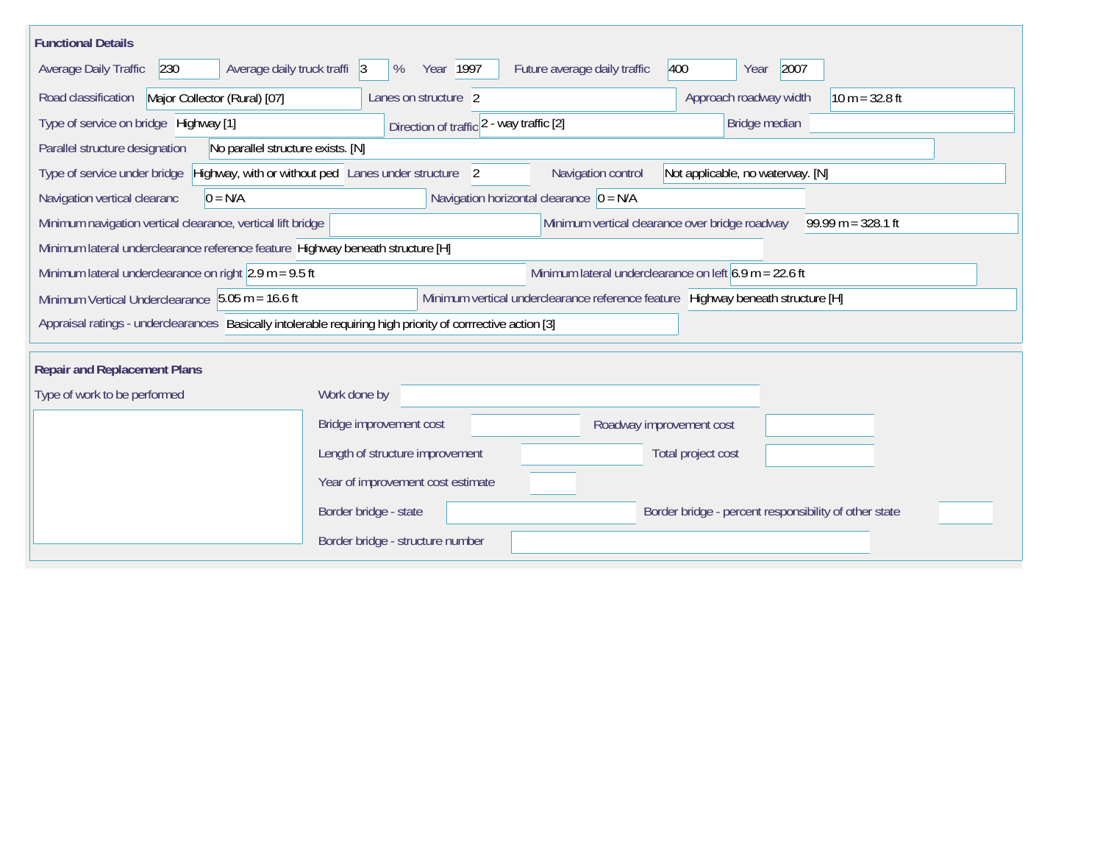| <b>Functional Details</b>                                                                                                             |                                                                                                                |  |  |  |  |  |  |  |  |
|---------------------------------------------------------------------------------------------------------------------------------------|----------------------------------------------------------------------------------------------------------------|--|--|--|--|--|--|--|--|
| 2007<br>230<br>Average daily truck traffi 3<br>Year 1997<br>Future average daily traffic<br>400<br>Average Daily Traffic<br>%<br>Year |                                                                                                                |  |  |  |  |  |  |  |  |
| Road classification<br>Major Collector (Rural) [07]<br>Approach roadway width<br>$10 m = 32.8 ft$<br>Lanes on structure 2             |                                                                                                                |  |  |  |  |  |  |  |  |
| Type of service on bridge Highway [1]                                                                                                 | Bridge median<br>Direction of traffic 2 - way traffic [2]                                                      |  |  |  |  |  |  |  |  |
| Parallel structure designation<br>No parallel structure exists. [N]                                                                   |                                                                                                                |  |  |  |  |  |  |  |  |
| Type of service under bridge                                                                                                          | Highway, with or without ped Lanes under structure 2<br>Navigation control<br>Not applicable, no waterway. [N] |  |  |  |  |  |  |  |  |
| Navigation vertical clearanc<br>$0 = N/A$                                                                                             | Navigation horizontal clearance $ 0 = N/A $                                                                    |  |  |  |  |  |  |  |  |
| Minimum navigation vertical clearance, vertical lift bridge                                                                           | Minimum vertical clearance over bridge roadway<br>$99.99 m = 328.1 ft$                                         |  |  |  |  |  |  |  |  |
| Minimum lateral underclearance reference feature Highway beneath structure [H]                                                        |                                                                                                                |  |  |  |  |  |  |  |  |
| Minimum lateral underclearance on right $2.9$ m = 9.5 ft                                                                              | Minimum lateral underclearance on left $6.9$ m = 22.6 ft                                                       |  |  |  |  |  |  |  |  |
| Minimum Vertical Underclearance 5.05 m = 16.6 ft                                                                                      | Minimum vertical underclearance reference feature Highway beneath structure [H]                                |  |  |  |  |  |  |  |  |
| Appraisal ratings - underclearances Basically intolerable requiring high priority of corrrective action [3]                           |                                                                                                                |  |  |  |  |  |  |  |  |
|                                                                                                                                       |                                                                                                                |  |  |  |  |  |  |  |  |
| <b>Repair and Replacement Plans</b>                                                                                                   |                                                                                                                |  |  |  |  |  |  |  |  |
| Type of work to be performed                                                                                                          | Work done by                                                                                                   |  |  |  |  |  |  |  |  |
|                                                                                                                                       | Bridge improvement cost<br>Roadway improvement cost                                                            |  |  |  |  |  |  |  |  |
|                                                                                                                                       | Length of structure improvement<br>Total project cost                                                          |  |  |  |  |  |  |  |  |
|                                                                                                                                       | Year of improvement cost estimate                                                                              |  |  |  |  |  |  |  |  |
|                                                                                                                                       | Border bridge - state<br>Border bridge - percent responsibility of other state                                 |  |  |  |  |  |  |  |  |
|                                                                                                                                       | Border bridge - structure number                                                                               |  |  |  |  |  |  |  |  |